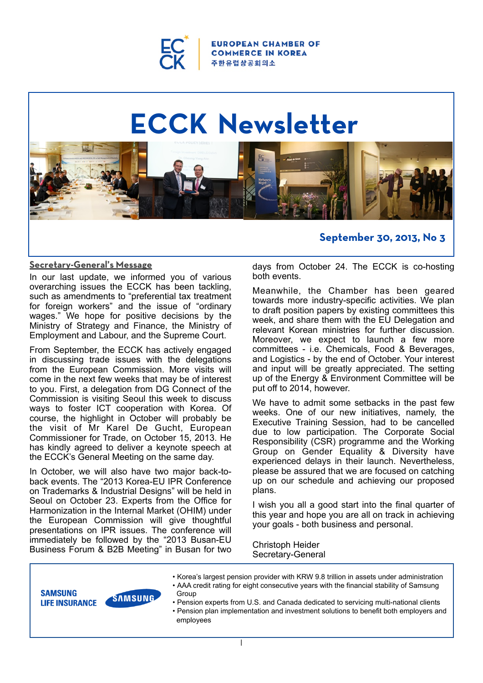

**ROPEAN CHAMBER OF COMMERCE IN KOREA** 주 한 유 럽 상 공 회 의 소

# **ECCK Newsletter** ECCK Newsletter



## **Secretary-General's Message**

In our last update, we informed you of various overarching issues the ECCK has been tackling, such as amendments to "preferential tax treatment for foreign workers" and the issue of "ordinary wages." We hope for positive decisions by the Ministry of Strategy and Finance, the Ministry of Employment and Labour, and the Supreme Court.

From September, the ECCK has actively engaged in discussing trade issues with the delegations from the European Commission. More visits will come in the next few weeks that may be of interest to you. First, a delegation from DG Connect of the Commission is visiting Seoul this week to discuss ways to foster ICT cooperation with Korea. Of course, the highlight in October will probably be the visit of Mr Karel De Gucht, European Commissioner for Trade, on October 15, 2013. He has kindly agreed to deliver a keynote speech at the ECCK's General Meeting on the same day.

In October, we will also have two major back-toback events. The "2013 Korea-EU IPR Conference on Trademarks & Industrial Designs" will be held in Seoul on October 23. Experts from the Office for Harmonization in the Internal Market (OHIM) under the European Commission will give thoughtful presentations on IPR issues. The conference will immediately be followed by the "2013 Busan-EU Business Forum & B2B Meeting" in Busan for two

days from October 24. The ECCK is co-hosting both events.

**September 30, 2013, No 3**

Meanwhile, the Chamber has been geared towards more industry-specific activities. We plan to draft position papers by existing committees this week, and share them with the EU Delegation and relevant Korean ministries for further discussion. Moreover, we expect to launch a few more committees - i.e. Chemicals, Food & Beverages, and Logistics - by the end of October. Your interest and input will be greatly appreciated. The setting up of the Energy & Environment Committee will be put off to 2014, however.

We have to admit some setbacks in the past few weeks. One of our new initiatives, namely, the Executive Training Session, had to be cancelled due to low participation. The Corporate Social Responsibility (CSR) programme and the Working Group on Gender Equality & Diversity have experienced delays in their launch. Nevertheless, please be assured that we are focused on catching up on our schedule and achieving our proposed plans.

I wish you all a good start into the final quarter of this year and hope you are all on track in achieving your goals - both business and personal.

Christoph Heider Secretary-General



- Korea's largest pension provider with KRW 9.8 trillion in assets under administration<br>
SAMSUNG<br>
SAMSUNG<br>
Group • AAA credit rating for eight consecutive years with the financial stability of Samsung Group • Pension experts from U.S. and Canada dedicated to servicing multi-national clients
- **EIFE INSURANCE**<br>
 Pension experis from U.S. and Canada dedicated to servicing multi-national chemis<br>
 Pension plan implementation and investment solutions to benefit both employers and<br>
employees employees

1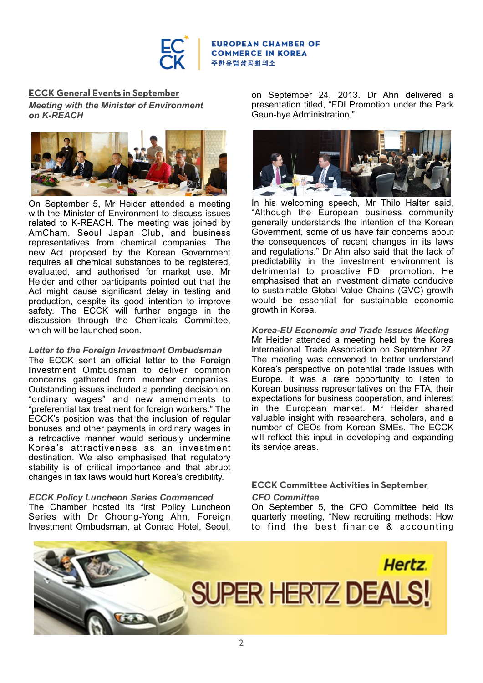

#### **EUROPEAN CHAMBER OF COMMERCE IN KOREA** 주한유럽상공회의소

## **ECCK General Events in September**

*Meeting with the Minister of Environment on K-REACH* 



On September 5, Mr Heider attended a meeting with the Minister of Environment to discuss issues related to K-REACH. The meeting was joined by AmCham, Seoul Japan Club, and business representatives from chemical companies. The new Act proposed by the Korean Government requires all chemical substances to be registered, evaluated, and authorised for market use. Mr Heider and other participants pointed out that the Act might cause significant delay in testing and production, despite its good intention to improve safety. The ECCK will further engage in the discussion through the Chemicals Committee, which will be launched soon.

## *Letter to the Foreign Investment Ombudsman*

The ECCK sent an official letter to the Foreign Investment Ombudsman to deliver common concerns gathered from member companies. Outstanding issues included a pending decision on "ordinary wages" and new amendments to "preferential tax treatment for foreign workers." The ECCK's position was that the inclusion of regular bonuses and other payments in ordinary wages in a retroactive manner would seriously undermine Korea's attractiveness as an investment destination. We also emphasised that regulatory stability is of critical importance and that abrupt changes in tax laws would hurt Korea's credibility.

## *ECCK Policy Luncheon Series Commenced*

The Chamber hosted its first Policy Luncheon Series with Dr Choong-Yong Ahn, Foreign Investment Ombudsman, at Conrad Hotel, Seoul,

on September 24, 2013. Dr Ahn delivered a presentation titled, "FDI Promotion under the Park Geun-hye Administration."



In his welcoming speech, Mr Thilo Halter said, "Although the European business community generally understands the intention of the Korean Government, some of us have fair concerns about the consequences of recent changes in its laws and regulations." Dr Ahn also said that the lack of predictability in the investment environment is detrimental to proactive FDI promotion. He emphasised that an investment climate conducive to sustainable Global Value Chains (GVC) growth would be essential for sustainable economic growth in Korea.

#### *Korea-EU Economic and Trade Issues Meeting*  Mr Heider attended a meeting held by the Korea International Trade Association on September 27. The meeting was convened to better understand Korea's perspective on potential trade issues with Europe. It was a rare opportunity to listen to Korean business representatives on the FTA, their expectations for business cooperation, and interest in the European market. Mr Heider shared valuable insight with researchers, scholars, and a number of CEOs from Korean SMEs. The ECCK will reflect this input in developing and expanding

## **ECCK Committee Activities in September** *CFO Committee*

its service areas.

On September 5, the CFO Committee held its quarterly meeting, "New recruiting methods: How to find the best finance & accounting

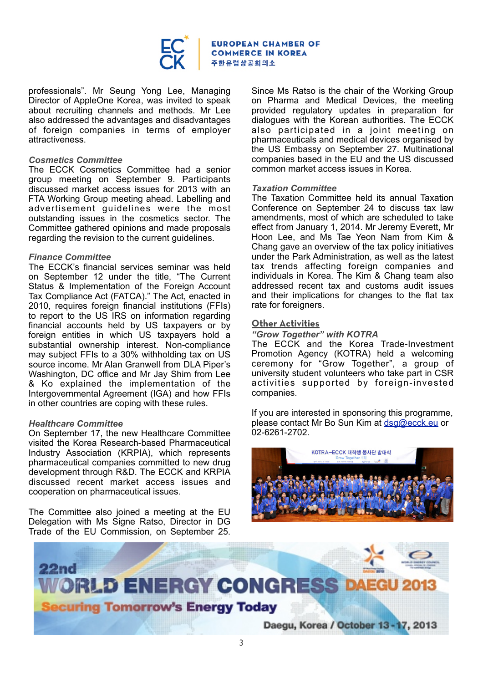

**EUROPEAN CHAMBER OF COMMERCE IN KOREA** 주한유럽상공회의소

professionals". Mr Seung Yong Lee, Managing Director of AppleOne Korea, was invited to speak about recruiting channels and methods. Mr Lee also addressed the advantages and disadvantages of foreign companies in terms of employer attractiveness.

#### *Cosmetics Committee*

The ECCK Cosmetics Committee had a senior group meeting on September 9. Participants discussed market access issues for 2013 with an FTA Working Group meeting ahead. Labelling and advertisement guidelines were the most outstanding issues in the cosmetics sector. The Committee gathered opinions and made proposals regarding the revision to the current guidelines.

#### *Finance Committee*

The ECCK's financial services seminar was held on September 12 under the title, "The Current Status & Implementation of the Foreign Account Tax Compliance Act (FATCA)." The Act, enacted in 2010, requires foreign financial institutions (FFIs) to report to the US IRS on information regarding financial accounts held by US taxpayers or by foreign entities in which US taxpayers hold a substantial ownership interest. Non-compliance may subject FFIs to a 30% withholding tax on US source income. Mr Alan Granwell from DLA Piper's Washington, DC office and Mr Jay Shim from Lee & Ko explained the implementation of the Intergovernmental Agreement (IGA) and how FFIs in other countries are coping with these rules.

#### *Healthcare Committee*

On September 17, the new Healthcare Committee visited the Korea Research-based Pharmaceutical Industry Association (KRPIA), which represents pharmaceutical companies committed to new drug development through R&D. The ECCK and KRPIA discussed recent market access issues and cooperation on pharmaceutical issues.

The Committee also joined a meeting at the EU Delegation with Ms Signe Ratso, Director in DG Trade of the EU Commission, on September 25. Since Ms Ratso is the chair of the Working Group on Pharma and Medical Devices, the meeting provided regulatory updates in preparation for dialogues with the Korean authorities. The ECCK also participated in a joint meeting on pharmaceuticals and medical devices organised by the US Embassy on September 27. Multinational companies based in the EU and the US discussed common market access issues in Korea.

#### *Taxation Committee*

The Taxation Committee held its annual Taxation Conference on September 24 to discuss tax law amendments, most of which are scheduled to take effect from January 1, 2014. Mr Jeremy Everett, Mr Hoon Lee, and Ms Tae Yeon Nam from Kim & Chang gave an overview of the tax policy initiatives under the Park Administration, as well as the latest tax trends affecting foreign companies and individuals in Korea. The Kim & Chang team also addressed recent tax and customs audit issues and their implications for changes to the flat tax rate for foreigners.

#### **Other Activities**

#### *"Grow Together" with KOTRA*

The ECCK and the Korea Trade-Investment Promotion Agency (KOTRA) held a welcoming ceremony for "Grow Together", a group of university student volunteers who take part in CSR activities supported by foreign-invested companies.

If you are interested in sponsoring this programme, please contact Mr Bo Sun Kim at [dsg@ecck.eu](mailto:dsg@ecck.eu) or 02-6261-2702.